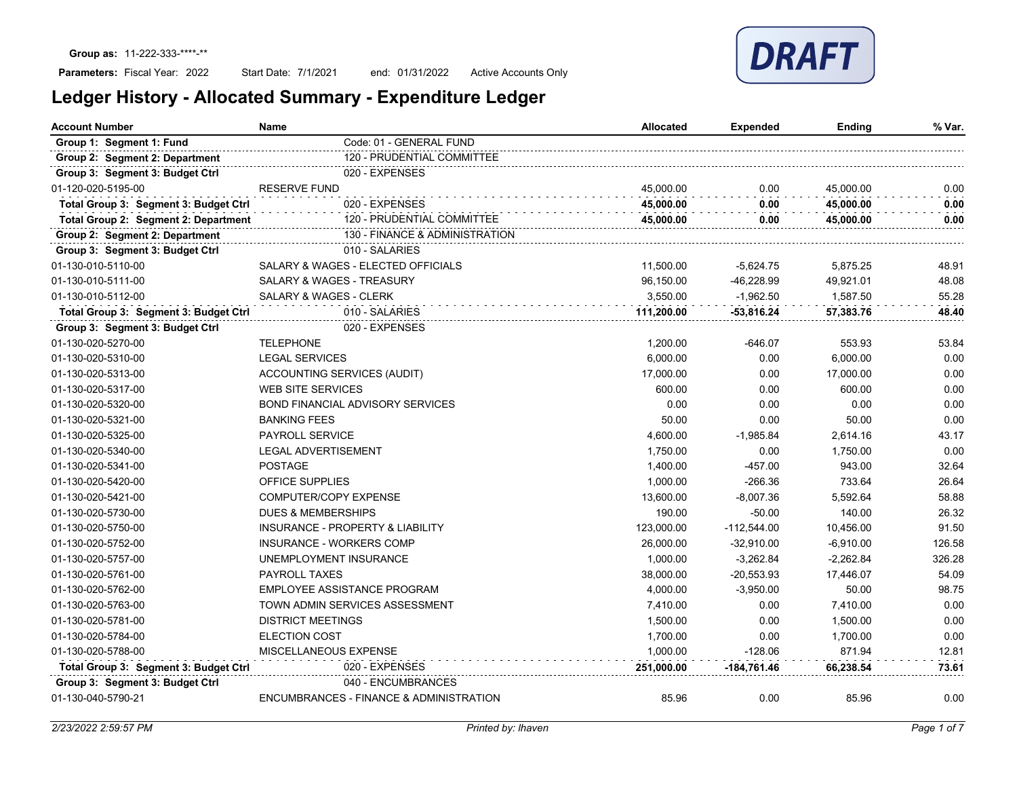## Parameters: Fiscal Year: 2022

Start Date: 7/1/2021 end: 01/31/2022 Active Accounts Only

| Ledger History - Allocated Summary - Expenditure Ledger |  |  |  |  |
|---------------------------------------------------------|--|--|--|--|
|---------------------------------------------------------|--|--|--|--|

| <b>Account Number</b>                 | Name                                    | <b>Allocated</b> | Expended      | Ending      | % Var. |
|---------------------------------------|-----------------------------------------|------------------|---------------|-------------|--------|
| Group 1: Segment 1: Fund              | Code: 01 - GENERAL FUND                 |                  |               |             |        |
| Group 2: Segment 2: Department        | 120 - PRUDENTIAL COMMITTEE              |                  |               |             |        |
| Group 3: Segment 3: Budget Ctrl       | 020 - EXPENSES                          |                  |               |             |        |
| 01-120-020-5195-00                    | <b>RESERVE FUND</b>                     | 45,000.00        | 0.00          | 45,000.00   | 0.00   |
| Total Group 3: Segment 3: Budget Ctrl | 020 - EXPENSES                          | 45.000.00        | 0.00          | 45,000.00   | 0.00   |
| Total Group 2: Segment 2: Department  | 120 - PRUDENTIAL COMMITTEE              | 45,000.00        | 0.00          | 45,000.00   | 0.00   |
| Group 2: Segment 2: Department        | 130 - FINANCE & ADMINISTRATION          |                  |               |             |        |
| Group 3: Segment 3: Budget Ctrl       | 010 - SALARIES                          |                  |               |             |        |
| 01-130-010-5110-00                    | SALARY & WAGES - ELECTED OFFICIALS      | 11,500.00        | $-5,624.75$   | 5,875.25    | 48.91  |
| 01-130-010-5111-00                    | SALARY & WAGES - TREASURY               | 96,150.00        | $-46,228.99$  | 49,921.01   | 48.08  |
| 01-130-010-5112-00                    | <b>SALARY &amp; WAGES - CLERK</b>       | 3.550.00         | $-1.962.50$   | 1.587.50    | 55.28  |
| Total Group 3: Segment 3: Budget Ctrl | 010 - SALARIES                          | 111,200.00       | -53,816.24    | 57,383.76   | 48.40  |
| Group 3: Segment 3: Budget Ctrl       | 020 - EXPENSES                          |                  |               |             |        |
| 01-130-020-5270-00                    | <b>TELEPHONE</b>                        | 1,200.00         | $-646.07$     | 553.93      | 53.84  |
| 01-130-020-5310-00                    | <b>LEGAL SERVICES</b>                   | 6.000.00         | 0.00          | 6.000.00    | 0.00   |
| 01-130-020-5313-00                    | ACCOUNTING SERVICES (AUDIT)             | 17,000.00        | 0.00          | 17,000.00   | 0.00   |
| 01-130-020-5317-00                    | <b>WEB SITE SERVICES</b>                | 600.00           | 0.00          | 600.00      | 0.00   |
| 01-130-020-5320-00                    | <b>BOND FINANCIAL ADVISORY SERVICES</b> | 0.00             | 0.00          | 0.00        | 0.00   |
| 01-130-020-5321-00                    | <b>BANKING FEES</b>                     | 50.00            | 0.00          | 50.00       | 0.00   |
| 01-130-020-5325-00                    | <b>PAYROLL SERVICE</b>                  | 4,600.00         | $-1,985.84$   | 2,614.16    | 43.17  |
| 01-130-020-5340-00                    | <b>LEGAL ADVERTISEMENT</b>              | 1,750.00         | 0.00          | 1.750.00    | 0.00   |
| 01-130-020-5341-00                    | <b>POSTAGE</b>                          | 1,400.00         | $-457.00$     | 943.00      | 32.64  |
| 01-130-020-5420-00                    | <b>OFFICE SUPPLIES</b>                  | 1,000.00         | $-266.36$     | 733.64      | 26.64  |
| 01-130-020-5421-00                    | COMPUTER/COPY EXPENSE                   | 13,600.00        | $-8,007.36$   | 5,592.64    | 58.88  |
| 01-130-020-5730-00                    | <b>DUES &amp; MEMBERSHIPS</b>           | 190.00           | $-50.00$      | 140.00      | 26.32  |
| 01-130-020-5750-00                    | INSURANCE - PROPERTY & LIABILITY        | 123,000.00       | $-112,544.00$ | 10,456.00   | 91.50  |
| 01-130-020-5752-00                    | <b>INSURANCE - WORKERS COMP</b>         | 26,000.00        | $-32,910.00$  | $-6,910.00$ | 126.58 |
| 01-130-020-5757-00                    | UNEMPLOYMENT INSURANCE                  | 1,000.00         | $-3,262.84$   | $-2,262.84$ | 326.28 |
| 01-130-020-5761-00                    | <b>PAYROLL TAXES</b>                    | 38,000.00        | $-20,553.93$  | 17.446.07   | 54.09  |
| 01-130-020-5762-00                    | EMPLOYEE ASSISTANCE PROGRAM             | 4,000.00         | $-3,950.00$   | 50.00       | 98.75  |
| 01-130-020-5763-00                    | TOWN ADMIN SERVICES ASSESSMENT          | 7,410.00         | 0.00          | 7,410.00    | 0.00   |
| 01-130-020-5781-00                    | <b>DISTRICT MEETINGS</b>                | 1,500.00         | 0.00          | 1,500.00    | 0.00   |
| 01-130-020-5784-00                    | <b>ELECTION COST</b>                    | 1,700.00         | 0.00          | 1,700.00    | 0.00   |
| 01-130-020-5788-00                    | MISCELLANEOUS EXPENSE                   | 1,000.00         | $-128.06$     | 871.94      | 12.81  |
| Total Group 3: Segment 3: Budget Ctrl | 020 - EXPENSES                          | 251,000.00       | -184,761.46   | 66,238.54   | 73.61  |
| Group 3: Segment 3: Budget Ctrl       | 040 - ENCUMBRANCES                      |                  |               |             |        |
| 01-130-040-5790-21                    | ENCUMBRANCES - FINANCE & ADMINISTRATION | 85.96            | 0.00          | 85.96       | 0.00   |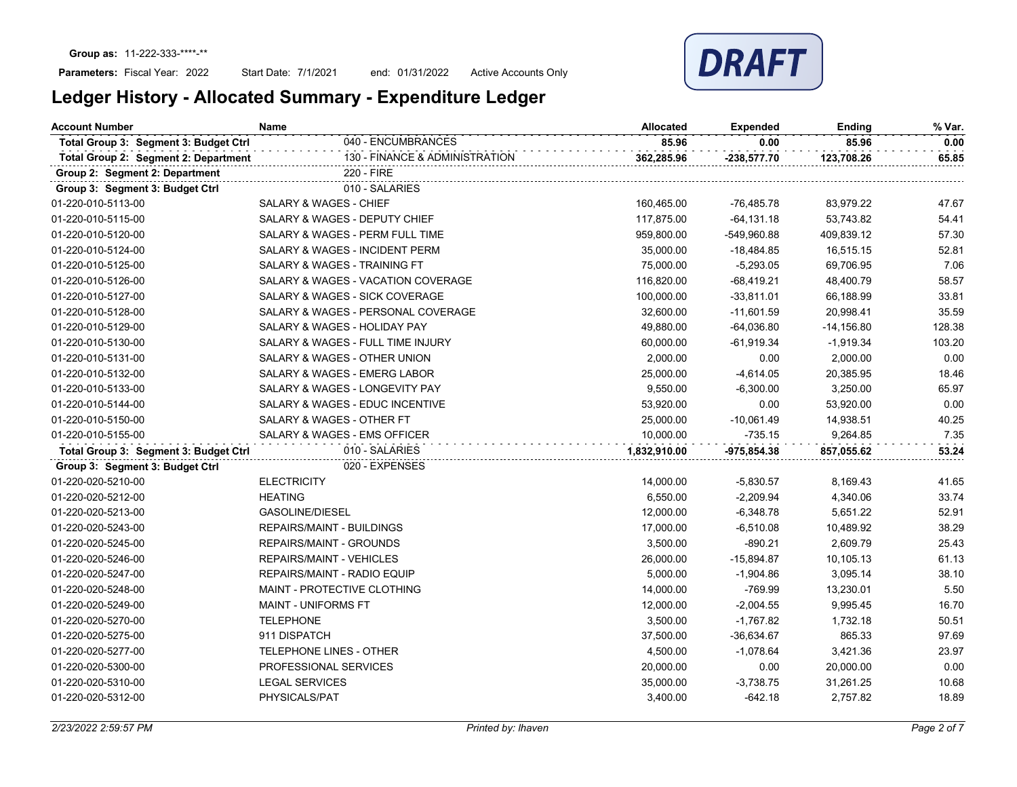

| <b>Account Number</b>                 | <b>Name</b>                                                              | <b>Allocated</b> | <b>Expended</b> | Ending        | % Var. |
|---------------------------------------|--------------------------------------------------------------------------|------------------|-----------------|---------------|--------|
| Total Group 3: Segment 3: Budget Ctrl | 040 - ENCUMBRANCES                                                       | 85.96            | 0.00            | 85.96         | 0.00   |
| Total Group 2: Segment 2: Department  | 130 - FINANCE & ADMINISTRATION                                           | 362,285.96       | $-238,577.70$   | 123,708.26    | 65.85  |
| Group 2: Segment 2: Department        | 220 - FIRE                                                               |                  |                 |               |        |
| Group 3: Segment 3: Budget Ctrl       | 010 - SALARIES                                                           |                  |                 |               |        |
| 01-220-010-5113-00                    | <b>SALARY &amp; WAGES - CHIEF</b>                                        | 160,465.00       | -76,485.78      | 83,979.22     | 47.67  |
| 01-220-010-5115-00                    | SALARY & WAGES - DEPUTY CHIEF                                            | 117,875.00       | $-64, 131.18$   | 53,743.82     | 54.41  |
| 01-220-010-5120-00                    | SALARY & WAGES - PERM FULL TIME                                          | 959,800.00       | -549,960.88     | 409,839.12    | 57.30  |
| 01-220-010-5124-00                    | SALARY & WAGES - INCIDENT PERM<br>35,000.00<br>$-18,484.85$<br>16,515.15 |                  |                 | 52.81         |        |
| 01-220-010-5125-00                    | SALARY & WAGES - TRAINING FT                                             | 75,000.00        | $-5,293.05$     | 69,706.95     | 7.06   |
| 01-220-010-5126-00                    | SALARY & WAGES - VACATION COVERAGE                                       | 116,820.00       | $-68,419.21$    | 48,400.79     | 58.57  |
| 01-220-010-5127-00                    | SALARY & WAGES - SICK COVERAGE                                           | 100,000.00       | $-33,811.01$    | 66,188.99     | 33.81  |
| 01-220-010-5128-00                    | SALARY & WAGES - PERSONAL COVERAGE                                       | 32,600.00        | $-11,601.59$    | 20,998.41     | 35.59  |
| 01-220-010-5129-00                    | SALARY & WAGES - HOLIDAY PAY                                             | 49,880.00        | $-64,036.80$    | $-14, 156.80$ | 128.38 |
| 01-220-010-5130-00                    | SALARY & WAGES - FULL TIME INJURY                                        | 60,000.00        | $-61,919.34$    | $-1,919.34$   | 103.20 |
| 01-220-010-5131-00                    | SALARY & WAGES - OTHER UNION                                             | 2,000.00         | 0.00            | 2,000.00      | 0.00   |
| 01-220-010-5132-00                    | SALARY & WAGES - EMERG LABOR                                             | 25,000.00        | $-4,614.05$     | 20,385.95     | 18.46  |
| 01-220-010-5133-00                    | SALARY & WAGES - LONGEVITY PAY                                           | 9,550.00         | $-6,300.00$     | 3,250.00      | 65.97  |
| 01-220-010-5144-00                    | SALARY & WAGES - EDUC INCENTIVE                                          | 53,920.00        | 0.00            | 53,920.00     | 0.00   |
| 01-220-010-5150-00                    | SALARY & WAGES - OTHER FT                                                | 25,000.00        | $-10,061.49$    | 14,938.51     | 40.25  |
| 01-220-010-5155-00                    | SALARY & WAGES - EMS OFFICER                                             | 10,000.00        | $-735.15$       | 9,264.85      | 7.35   |
| Total Group 3: Segment 3: Budget Ctrl | 010 - SALARIES                                                           | 1,832,910.00     | -975,854.38     | 857,055.62    | 53.24  |
| Group 3: Segment 3: Budget Ctrl       | 020 - EXPENSES                                                           |                  |                 |               |        |
| 01-220-020-5210-00                    | <b>ELECTRICITY</b>                                                       | 14,000.00        | $-5,830.57$     | 8,169.43      | 41.65  |
| 01-220-020-5212-00                    | <b>HEATING</b>                                                           | 6,550.00         | $-2,209.94$     | 4,340.06      | 33.74  |
| 01-220-020-5213-00                    | GASOLINE/DIESEL                                                          | 12,000.00        | $-6,348.78$     | 5,651.22      | 52.91  |
| 01-220-020-5243-00                    | <b>REPAIRS/MAINT - BUILDINGS</b>                                         | 17,000.00        | $-6,510.08$     | 10,489.92     | 38.29  |
| 01-220-020-5245-00                    | REPAIRS/MAINT - GROUNDS                                                  | 3,500.00         | $-890.21$       | 2,609.79      | 25.43  |
| 01-220-020-5246-00                    | <b>REPAIRS/MAINT - VEHICLES</b>                                          | 26,000.00        | $-15,894.87$    | 10,105.13     | 61.13  |
| 01-220-020-5247-00                    | REPAIRS/MAINT - RADIO EQUIP                                              | 5,000.00         | $-1,904.86$     | 3,095.14      | 38.10  |
| 01-220-020-5248-00                    | MAINT - PROTECTIVE CLOTHING                                              | 14,000.00        | $-769.99$       | 13,230.01     | 5.50   |
| 01-220-020-5249-00                    | <b>MAINT - UNIFORMS FT</b>                                               | 12,000.00        | $-2,004.55$     | 9,995.45      | 16.70  |
| 01-220-020-5270-00                    | <b>TELEPHONE</b>                                                         | 3,500.00         | $-1,767.82$     | 1,732.18      | 50.51  |
| 01-220-020-5275-00                    | 911 DISPATCH                                                             | 37,500.00        | $-36,634.67$    | 865.33        | 97.69  |
| 01-220-020-5277-00                    | TELEPHONE LINES - OTHER                                                  | 4,500.00         | $-1,078.64$     | 3,421.36      | 23.97  |
| 01-220-020-5300-00                    | PROFESSIONAL SERVICES                                                    | 20,000.00        | 0.00            | 20,000.00     | 0.00   |
| 01-220-020-5310-00                    | <b>LEGAL SERVICES</b>                                                    | 35,000.00        | $-3,738.75$     | 31,261.25     | 10.68  |
| 01-220-020-5312-00                    | PHYSICALS/PAT                                                            | 3,400.00         | $-642.18$       | 2,757.82      | 18.89  |
|                                       |                                                                          |                  |                 |               |        |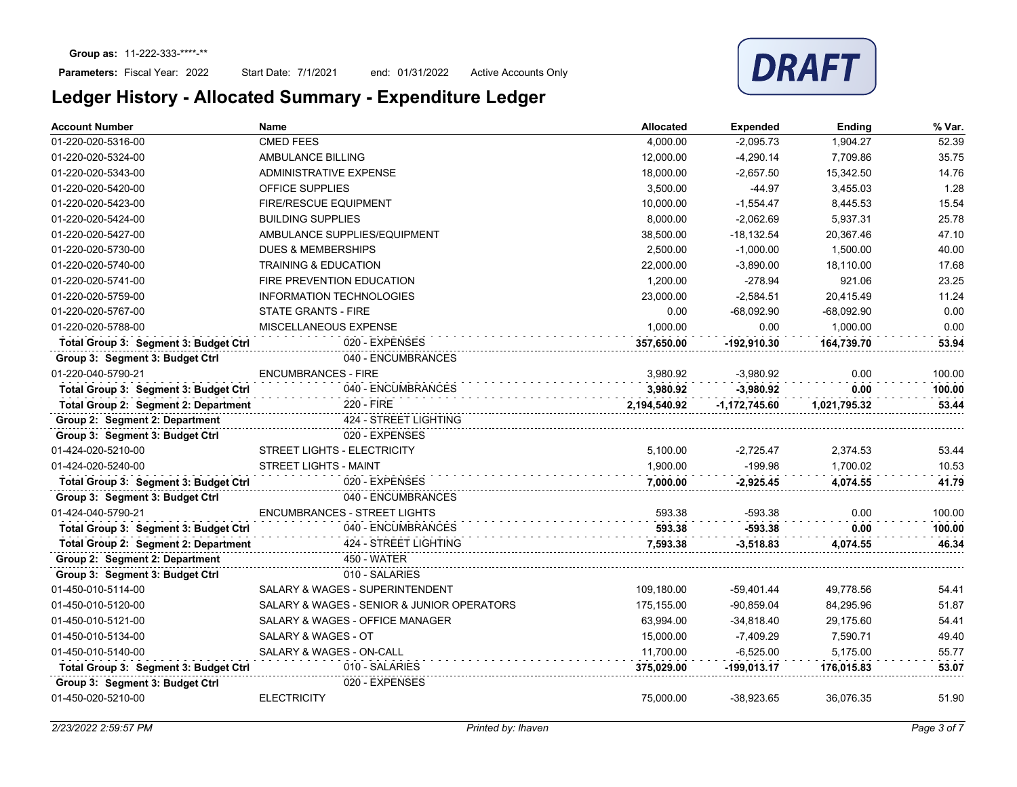

| <b>Account Number</b>                 | <b>Name</b>                                | <b>Allocated</b> | <b>Expended</b> | <b>Ending</b> | % Var. |
|---------------------------------------|--------------------------------------------|------------------|-----------------|---------------|--------|
| 01-220-020-5316-00                    | <b>CMED FEES</b>                           | 4,000.00         | $-2,095.73$     | 1,904.27      | 52.39  |
| 01-220-020-5324-00                    | AMBULANCE BILLING                          | 12,000.00        | $-4,290.14$     | 7,709.86      | 35.75  |
| 01-220-020-5343-00                    | <b>ADMINISTRATIVE EXPENSE</b>              | 18,000.00        | $-2,657.50$     | 15,342.50     | 14.76  |
| 01-220-020-5420-00                    | <b>OFFICE SUPPLIES</b>                     | 3,500.00         | $-44.97$        | 3,455.03      | 1.28   |
| 01-220-020-5423-00                    | <b>FIRE/RESCUE EQUIPMENT</b>               | 10.000.00        | $-1.554.47$     | 8.445.53      | 15.54  |
| 01-220-020-5424-00                    | <b>BUILDING SUPPLIES</b>                   | 8,000.00         | $-2,062.69$     | 5,937.31      | 25.78  |
| 01-220-020-5427-00                    | AMBULANCE SUPPLIES/EQUIPMENT               | 38,500.00        | $-18, 132.54$   | 20.367.46     | 47.10  |
| 01-220-020-5730-00                    | <b>DUES &amp; MEMBERSHIPS</b>              | 2,500.00         | $-1,000.00$     | 1.500.00      | 40.00  |
| 01-220-020-5740-00                    | <b>TRAINING &amp; EDUCATION</b>            | 22,000.00        | $-3,890.00$     | 18.110.00     | 17.68  |
| 01-220-020-5741-00                    | FIRE PREVENTION EDUCATION                  | 1,200.00         | $-278.94$       | 921.06        | 23.25  |
| 01-220-020-5759-00                    | <b>INFORMATION TECHNOLOGIES</b>            | 23.000.00        | $-2.584.51$     | 20.415.49     | 11.24  |
| 01-220-020-5767-00                    | <b>STATE GRANTS - FIRE</b>                 | 0.00             | $-68.092.90$    | $-68.092.90$  | 0.00   |
| 01-220-020-5788-00                    | MISCELLANEOUS EXPENSE                      | 1.000.00         | 0.00            | 1.000.00      | 0.00   |
| Total Group 3: Segment 3: Budget Ctrl | 020 - EXPENSES                             | 357.650.00       | $-192.910.30$   | 164.739.70    | 53.94  |
| Group 3: Segment 3: Budget Ctrl       | 040 - ENCUMBRANCES                         |                  |                 |               |        |
| 01-220-040-5790-21                    | <b>ENCUMBRANCES - FIRE</b>                 | 3,980.92         | $-3,980.92$     | 0.00          | 100.00 |
| Total Group 3: Segment 3: Budget Ctrl | 040 - ENCUMBRANCES                         | 3.980.92         | $-3.980.92$     | 0.00          | 100.00 |
| Total Group 2: Segment 2: Department  | 220 - FIRE                                 | 2,194,540.92     | $-1,172,745.60$ | 1,021,795.32  | 53.44  |
| Group 2: Segment 2: Department        | 424 - STREET LIGHTING                      |                  |                 |               |        |
| Group 3: Segment 3: Budget Ctrl       | 020 - EXPENSES                             |                  |                 |               |        |
| 01-424-020-5210-00                    | STREET LIGHTS - ELECTRICITY                | 5,100.00         | $-2,725.47$     | 2,374.53      | 53.44  |
| 01-424-020-5240-00                    | <b>STREET LIGHTS - MAINT</b>               | 1,900.00         | $-199.98$       | 1,700.02      | 10.53  |
| Total Group 3: Segment 3: Budget Ctrl | 020 - EXPENSES                             | 7.000.00         | $-2,925.45$     | 4,074.55      | 41.79  |
| Group 3: Segment 3: Budget Ctrl       | 040 - ENCUMBRANCES                         |                  |                 |               |        |
| 01-424-040-5790-21                    | <b>ENCUMBRANCES - STREET LIGHTS</b>        | 593.38           | -593.38         | 0.00          | 100.00 |
| Total Group 3: Segment 3: Budget Ctrl | 040 - ENCUMBRANCES                         | 593.38           | $-593.38$       | 0.00          | 100.00 |
| Total Group 2: Segment 2: Department  | 424 - STREET LIGHTING                      | 7,593.38         | $-3,518.83$     | 4,074.55      | 46.34  |
| Group 2: Segment 2: Department        | 450 - WATER                                |                  |                 |               |        |
| Group 3: Segment 3: Budget Ctrl       | 010 - SALARIES                             |                  |                 |               |        |
| 01-450-010-5114-00                    | SALARY & WAGES - SUPERINTENDENT            | 109,180.00       | $-59,401.44$    | 49.778.56     | 54.41  |
| 01-450-010-5120-00                    | SALARY & WAGES - SENIOR & JUNIOR OPERATORS | 175,155.00       | $-90,859.04$    | 84,295.96     | 51.87  |
| 01-450-010-5121-00                    | SALARY & WAGES - OFFICE MANAGER            | 63,994.00        | $-34,818.40$    | 29,175.60     | 54.41  |
| 01-450-010-5134-00                    | <b>SALARY &amp; WAGES - OT</b>             | 15,000.00        | $-7,409.29$     | 7,590.71      | 49.40  |
| 01-450-010-5140-00                    | SALARY & WAGES - ON-CALL                   | 11,700.00        | $-6,525.00$     | 5,175.00      | 55.77  |
| Total Group 3: Segment 3: Budget Ctrl | 010 - SALARIES                             | 375.029.00       | $-199,013.17$   | 176.015.83    | 53.07  |
| Group 3: Segment 3: Budget Ctrl       | 020 - EXPENSES                             |                  |                 |               |        |
| 01-450-020-5210-00                    | <b>ELECTRICITY</b>                         | 75,000.00        | $-38,923.65$    | 36,076.35     | 51.90  |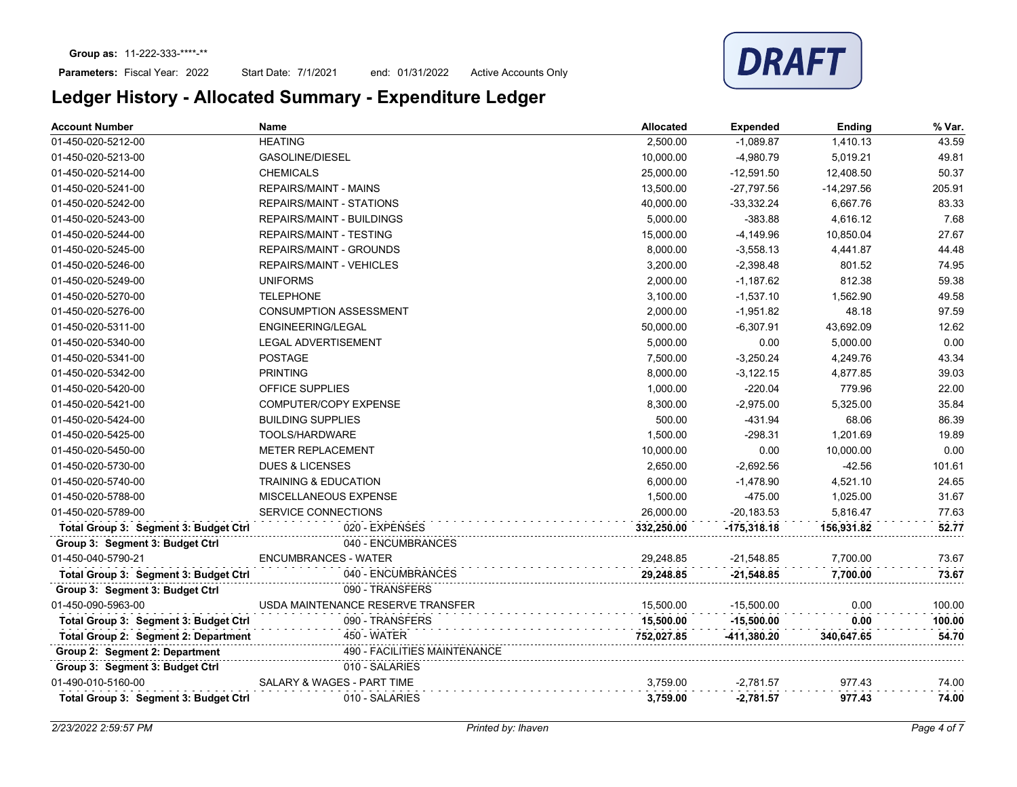

| <b>Account Number</b>                 | Name                              | <b>Allocated</b> | <b>Expended</b> | Ending       | % Var. |
|---------------------------------------|-----------------------------------|------------------|-----------------|--------------|--------|
| 01-450-020-5212-00                    | <b>HEATING</b>                    | 2,500.00         | $-1,089.87$     | 1,410.13     | 43.59  |
| 01-450-020-5213-00                    | GASOLINE/DIESEL                   | 10,000.00        | $-4,980.79$     | 5,019.21     | 49.81  |
| 01-450-020-5214-00                    | <b>CHEMICALS</b>                  | 25,000.00        | $-12,591.50$    | 12,408.50    | 50.37  |
| 01-450-020-5241-00                    | <b>REPAIRS/MAINT - MAINS</b>      | 13,500.00        | $-27,797.56$    | $-14,297.56$ | 205.91 |
| 01-450-020-5242-00                    | <b>REPAIRS/MAINT - STATIONS</b>   | 40,000.00        | $-33,332.24$    | 6,667.76     | 83.33  |
| 01-450-020-5243-00                    | <b>REPAIRS/MAINT - BUILDINGS</b>  | 5,000.00         | $-383.88$       | 4,616.12     | 7.68   |
| 01-450-020-5244-00                    | <b>REPAIRS/MAINT - TESTING</b>    | 15,000.00        | $-4,149.96$     | 10,850.04    | 27.67  |
| 01-450-020-5245-00                    | REPAIRS/MAINT - GROUNDS           | 8,000.00         | $-3,558.13$     | 4,441.87     | 44.48  |
| 01-450-020-5246-00                    | REPAIRS/MAINT - VEHICLES          | 3,200.00         | $-2,398.48$     | 801.52       | 74.95  |
| 01-450-020-5249-00                    | <b>UNIFORMS</b>                   | 2,000.00         | $-1,187.62$     | 812.38       | 59.38  |
| 01-450-020-5270-00                    | <b>TELEPHONE</b>                  | 3,100.00         | $-1,537.10$     | 1,562.90     | 49.58  |
| 01-450-020-5276-00                    | <b>CONSUMPTION ASSESSMENT</b>     | 2,000.00         | $-1,951.82$     | 48.18        | 97.59  |
| 01-450-020-5311-00                    | ENGINEERING/LEGAL                 | 50,000.00        | $-6.307.91$     | 43,692.09    | 12.62  |
| 01-450-020-5340-00                    | <b>LEGAL ADVERTISEMENT</b>        | 5,000.00         | 0.00            | 5,000.00     | 0.00   |
| 01-450-020-5341-00                    | <b>POSTAGE</b>                    | 7,500.00         | $-3,250.24$     | 4,249.76     | 43.34  |
| 01-450-020-5342-00                    | <b>PRINTING</b>                   | 8,000.00         | $-3,122.15$     | 4,877.85     | 39.03  |
| 01-450-020-5420-00                    | OFFICE SUPPLIES                   | 1,000.00         | $-220.04$       | 779.96       | 22.00  |
| 01-450-020-5421-00                    | COMPUTER/COPY EXPENSE             | 8,300.00         | $-2,975.00$     | 5,325.00     | 35.84  |
| 01-450-020-5424-00                    | <b>BUILDING SUPPLIES</b>          | 500.00           | $-431.94$       | 68.06        | 86.39  |
| 01-450-020-5425-00                    | TOOLS/HARDWARE                    | 1,500.00         | $-298.31$       | 1,201.69     | 19.89  |
| 01-450-020-5450-00                    | <b>METER REPLACEMENT</b>          | 10,000.00        | 0.00            | 10,000.00    | 0.00   |
| 01-450-020-5730-00                    | <b>DUES &amp; LICENSES</b>        | 2,650.00         | $-2,692.56$     | $-42.56$     | 101.61 |
| 01-450-020-5740-00                    | <b>TRAINING &amp; EDUCATION</b>   | 6,000.00         | $-1,478.90$     | 4,521.10     | 24.65  |
| 01-450-020-5788-00                    | MISCELLANEOUS EXPENSE             | 1,500.00         | $-475.00$       | 1,025.00     | 31.67  |
| 01-450-020-5789-00                    | SERVICE CONNECTIONS               | 26,000.00        | $-20,183.53$    | 5,816.47     | 77.63  |
| Total Group 3: Segment 3: Budget Ctrl | 020 - EXPENSES                    | 332,250.00       | -175,318.18     | 156,931.82   | 52.77  |
| Group 3: Segment 3: Budget Ctrl       | 040 - ENCUMBRANCES                |                  |                 |              |        |
| 01-450-040-5790-21                    | <b>ENCUMBRANCES - WATER</b>       | 29,248.85        | $-21,548.85$    | 7,700.00     | 73.67  |
| Total Group 3: Segment 3: Budget Ctrl | 040 - ENCUMBRANCES                | 29,248.85        | $-21,548.85$    | 7,700.00     | 73.67  |
| Group 3: Segment 3: Budget Ctrl       | 090 - TRANSFERS                   |                  |                 |              |        |
| 01-450-090-5963-00                    | USDA MAINTENANCE RESERVE TRANSFER | 15,500.00        | $-15,500.00$    | 0.00         | 100.00 |
| Total Group 3: Segment 3: Budget Ctrl | 090 - TRANSFERS                   | 15,500.00        | $-15,500.00$    | 0.00         | 100.00 |
| Total Group 2: Segment 2: Department  | 450 - WATER                       | 752,027.85       | -411,380.20     | 340,647.65   | 54.70  |
| Group 2: Segment 2: Department        | 490 - FACILITIES MAINTENANCE      |                  |                 |              |        |
| Group 3: Segment 3: Budget Ctrl       | 010 - SALARIES                    |                  |                 |              |        |
| 01-490-010-5160-00                    | SALARY & WAGES - PART TIME        | 3,759.00         | $-2,781.57$     | 977.43       | 74.00  |
| Total Group 3: Segment 3: Budget Ctrl | 010 - SALARIES                    | 3,759.00         | $-2,781.57$     | 977.43       | 74.00  |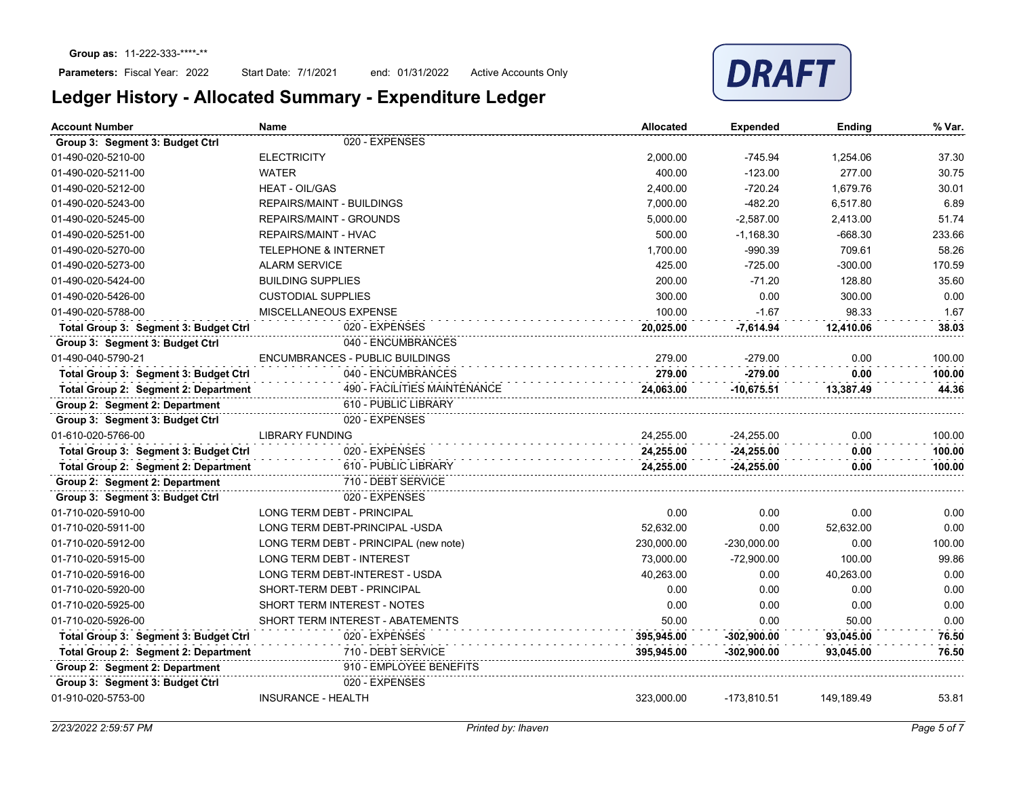

| <b>Account Number</b>                 | Name                                   | <b>Allocated</b> | <b>Expended</b> | <b>Ending</b> | % Var. |
|---------------------------------------|----------------------------------------|------------------|-----------------|---------------|--------|
| Group 3: Segment 3: Budget Ctrl       | 020 - EXPENSES                         |                  |                 |               |        |
| 01-490-020-5210-00                    | <b>ELECTRICITY</b>                     | 2,000.00         | $-745.94$       | 1,254.06      | 37.30  |
| 01-490-020-5211-00                    | <b>WATER</b>                           | 400.00           | $-123.00$       | 277.00        | 30.75  |
| 01-490-020-5212-00                    | <b>HEAT - OIL/GAS</b>                  | 2,400.00         | $-720.24$       | 1,679.76      | 30.01  |
| 01-490-020-5243-00                    | <b>REPAIRS/MAINT - BUILDINGS</b>       | 7,000.00         | $-482.20$       | 6,517.80      | 6.89   |
| 01-490-020-5245-00                    | <b>REPAIRS/MAINT - GROUNDS</b>         | 5,000.00         | $-2,587.00$     | 2,413.00      | 51.74  |
| 01-490-020-5251-00                    | <b>REPAIRS/MAINT - HVAC</b>            | 500.00           | $-1,168.30$     | $-668.30$     | 233.66 |
| 01-490-020-5270-00                    | <b>TELEPHONE &amp; INTERNET</b>        | 1,700.00         | $-990.39$       | 709.61        | 58.26  |
| 01-490-020-5273-00                    | <b>ALARM SERVICE</b>                   | 425.00           | $-725.00$       | $-300.00$     | 170.59 |
| 01-490-020-5424-00                    | <b>BUILDING SUPPLIES</b>               | 200.00           | $-71.20$        | 128.80        | 35.60  |
| 01-490-020-5426-00                    | <b>CUSTODIAL SUPPLIES</b>              | 300.00           | 0.00            | 300.00        | 0.00   |
| 01-490-020-5788-00                    | MISCELLANEOUS EXPENSE                  | 100.00           | $-1.67$         | 98.33         | 1.67   |
| Total Group 3: Segment 3: Budget Ctrl | 020 - EXPENSES                         | 20,025.00        | $-7,614.94$     | 12.410.06     | 38.03  |
| Group 3: Segment 3: Budget Ctrl       | 040 - ENCUMBRANCES                     |                  |                 |               |        |
| 01-490-040-5790-21                    | <b>ENCUMBRANCES - PUBLIC BUILDINGS</b> | 279.00           | $-279.00$       | 0.00          | 100.00 |
| Total Group 3: Segment 3: Budget Ctrl | 040 - ENCUMBRANCES                     | 279.00           | -279.00         | 0.00          | 100.00 |
| Total Group 2: Segment 2: Department  | 490 - FACILITIES MAINTENANCE           | 24,063.00        | $-10,675.51$    | 13,387.49     | 44.36  |
| Group 2: Segment 2: Department        | 610 - PUBLIC LIBRARY                   |                  |                 |               |        |
| Group 3: Segment 3: Budget Ctrl       | 020 - EXPENSES                         |                  |                 |               |        |
| 01-610-020-5766-00                    | <b>LIBRARY FUNDING</b>                 | 24,255.00        | $-24,255.00$    | 0.00          | 100.00 |
| Total Group 3: Segment 3: Budget Ctrl | 020 - EXPENSES                         | 24,255.00        | $-24,255.00$    | 0.00          | 100.00 |
| Total Group 2: Segment 2: Department  | 610 - PUBLIC LIBRARY                   | 24,255.00        | $-24,255.00$    | 0.00          | 100.00 |
| Group 2: Segment 2: Department        | 710 - DEBT SERVICE                     |                  |                 |               |        |
| Group 3: Segment 3: Budget Ctrl       | 020 - EXPENSES                         |                  |                 |               |        |
| 01-710-020-5910-00                    | LONG TERM DEBT - PRINCIPAL             | 0.00             | 0.00            | 0.00          | 0.00   |
| 01-710-020-5911-00                    | LONG TERM DEBT-PRINCIPAL -USDA         | 52,632.00        | 0.00            | 52,632.00     | 0.00   |
| 01-710-020-5912-00                    | LONG TERM DEBT - PRINCIPAL (new note)  | 230.000.00       | $-230,000.00$   | 0.00          | 100.00 |
| 01-710-020-5915-00                    | <b>LONG TERM DEBT - INTEREST</b>       | 73.000.00        | $-72,900.00$    | 100.00        | 99.86  |
| 01-710-020-5916-00                    | LONG TERM DEBT-INTEREST - USDA         | 40.263.00        | 0.00            | 40.263.00     | 0.00   |
| 01-710-020-5920-00                    | SHORT-TERM DEBT - PRINCIPAL            | 0.00             | 0.00            | 0.00          | 0.00   |
| 01-710-020-5925-00                    | <b>SHORT TERM INTEREST - NOTES</b>     | 0.00             | 0.00            | 0.00          | 0.00   |
| 01-710-020-5926-00                    | SHORT TERM INTEREST - ABATEMENTS       | 50.00            | 0.00            | 50.00         | 0.00   |
| Total Group 3: Segment 3: Budget Ctrl | 020 - EXPENSES                         | 395,945.00       | $-302,900.00$   | 93,045.00     | 76.50  |
| Total Group 2: Segment 2: Department  | 710 - DEBT SERVICE                     | 395,945.00       | -302,900.00     | 93,045.00     | 76.50  |
| Group 2: Segment 2: Department        | 910 - EMPLOYEE BENEFITS                |                  |                 |               |        |
| Group 3: Segment 3: Budget Ctrl       | 020 - EXPENSES                         |                  |                 |               |        |
| 01-910-020-5753-00                    | <b>INSURANCE - HEALTH</b>              | 323,000.00       | $-173,810.51$   | 149,189.49    | 53.81  |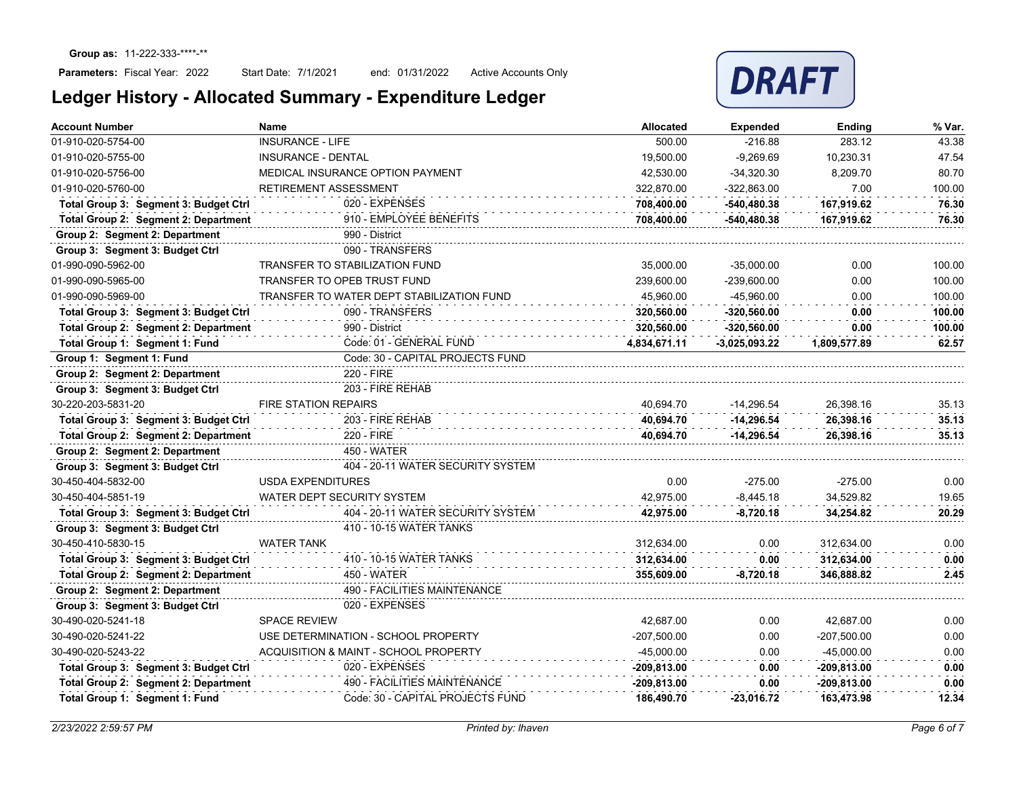

| <b>Account Number</b>                 | Name<br><b>Allocated</b>                  |               | <b>Expended</b> | Ending        | % Var. |
|---------------------------------------|-------------------------------------------|---------------|-----------------|---------------|--------|
| 01-910-020-5754-00                    | <b>INSURANCE - LIFE</b>                   | 500.00        | $-216.88$       | 283.12        | 43.38  |
| 01-910-020-5755-00                    | <b>INSURANCE - DENTAL</b>                 | 19,500.00     | $-9,269.69$     | 10,230.31     | 47.54  |
| 01-910-020-5756-00                    | MEDICAL INSURANCE OPTION PAYMENT          | 42,530.00     | $-34,320.30$    | 8.209.70      | 80.70  |
| 01-910-020-5760-00                    | RETIREMENT ASSESSMENT                     | 322,870.00    | -322,863.00     | 7.00          | 100.00 |
| Total Group 3: Segment 3: Budget Ctrl | 020 - EXPENSES                            | 708,400.00    | $-540,480.38$   | 167.919.62    | 76.30  |
| Total Group 2: Segment 2: Department  | 910 - EMPLOYEE BENEFITS                   | 708,400.00    | -540,480.38     | 167,919.62    | 76.30  |
| Group 2: Segment 2: Department        | 990 - District                            |               |                 |               |        |
| Group 3: Segment 3: Budget Ctrl       | 090 - TRANSFERS                           |               |                 |               |        |
| 01-990-090-5962-00                    | <b>TRANSFER TO STABILIZATION FUND</b>     | 35,000.00     | $-35,000.00$    | 0.00          | 100.00 |
| 01-990-090-5965-00                    | <b>TRANSFER TO OPEB TRUST FUND</b>        | 239,600.00    | $-239,600.00$   | 0.00          | 100.00 |
| 01-990-090-5969-00                    | TRANSFER TO WATER DEPT STABILIZATION FUND | 45.960.00     | -45.960.00      | 0.00          | 100.00 |
| Total Group 3: Segment 3: Budget Ctrl | 090 - TRANSFERS                           | 320,560.00    | $-320,560.00$   | 0.00          | 100.00 |
| Total Group 2: Segment 2: Department  | 990 - District                            | 320.560.00    | $-320,560.00$   | 0.00          | 100.00 |
| Total Group 1: Segment 1: Fund        | Code: 01 - GENERAL FUND                   | 4,834,671.11  | $-3.025.093.22$ | 1,809,577.89  | 62.57  |
| Group 1: Segment 1: Fund              | Code: 30 - CAPITAL PROJECTS FUND          |               |                 |               |        |
| Group 2: Segment 2: Department        | 220 - FIRE                                |               |                 |               |        |
| Group 3: Segment 3: Budget Ctrl       | 203 - FIRE REHAB                          |               |                 |               |        |
| 30-220-203-5831-20                    | <b>FIRE STATION REPAIRS</b>               | 40.694.70     | $-14.296.54$    | 26,398.16     | 35.13  |
| Total Group 3: Segment 3: Budget Ctrl | 203 - FIRE REHAB                          | 40.694.70     | $-14.296.54$    | 26.398.16     | 35.13  |
| Total Group 2: Segment 2: Department  | 220 - FIRE                                | 40.694.70     | $-14.296.54$    | 26.398.16     | 35.13  |
| Group 2: Segment 2: Department        | <b>450 - WATER</b>                        |               |                 |               |        |
| Group 3: Segment 3: Budget Ctrl       | 404 - 20-11 WATER SECURITY SYSTEM         |               |                 |               |        |
| 30-450-404-5832-00                    | <b>USDA EXPENDITURES</b>                  | 0.00          | $-275.00$       | $-275.00$     | 0.00   |
| 30-450-404-5851-19                    | WATER DEPT SECURITY SYSTEM                | 42.975.00     | $-8.445.18$     | 34.529.82     | 19.65  |
| Total Group 3: Segment 3: Budget Ctrl | 404 - 20-11 WATER SECURITY SYSTEM         | 42.975.00     | $-8.720.18$     | 34.254.82     | 20.29  |
| Group 3: Segment 3: Budget Ctrl       | 410 - 10-15 WATER TANKS                   |               |                 |               |        |
| 30-450-410-5830-15                    | <b>WATER TANK</b>                         | 312.634.00    | 0.00            | 312.634.00    | 0.00   |
| Total Group 3: Segment 3: Budget Ctrl | 410 - 10-15 WATER TANKS                   | 312,634.00    | 0.00            | 312,634.00    | 0.00   |
| Total Group 2: Segment 2: Department  | 450 - WATER                               | 355,609.00    | $-8,720.18$     | 346.888.82    | 2.45   |
| Group 2: Segment 2: Department        | 490 - FACILITIES MAINTENANCE              |               |                 |               |        |
| Group 3: Segment 3: Budget Ctrl       | 020 - EXPENSES                            |               |                 |               |        |
| 30-490-020-5241-18                    | <b>SPACE REVIEW</b>                       | 42,687.00     | 0.00            | 42,687.00     | 0.00   |
| 30-490-020-5241-22                    | USE DETERMINATION - SCHOOL PROPERTY       | $-207,500.00$ | 0.00            | $-207,500.00$ | 0.00   |
| 30-490-020-5243-22                    | ACQUISITION & MAINT - SCHOOL PROPERTY     | $-45,000.00$  | 0.00            | $-45,000.00$  | 0.00   |
| Total Group 3: Segment 3: Budget Ctrl | 020 - EXPENSES                            | $-209,813.00$ | 0.00            | $-209,813.00$ | 0.00   |
| Total Group 2: Segment 2: Department  | 490 - FACILITIES MAINTENANCE              | -209,813.00   | 0.00            | -209,813.00   | 0.00   |
| Total Group 1: Segment 1: Fund        | Code: 30 - CAPITAL PROJECTS FUND          | 186.490.70    | $-23.016.72$    | 163.473.98    | 12.34  |